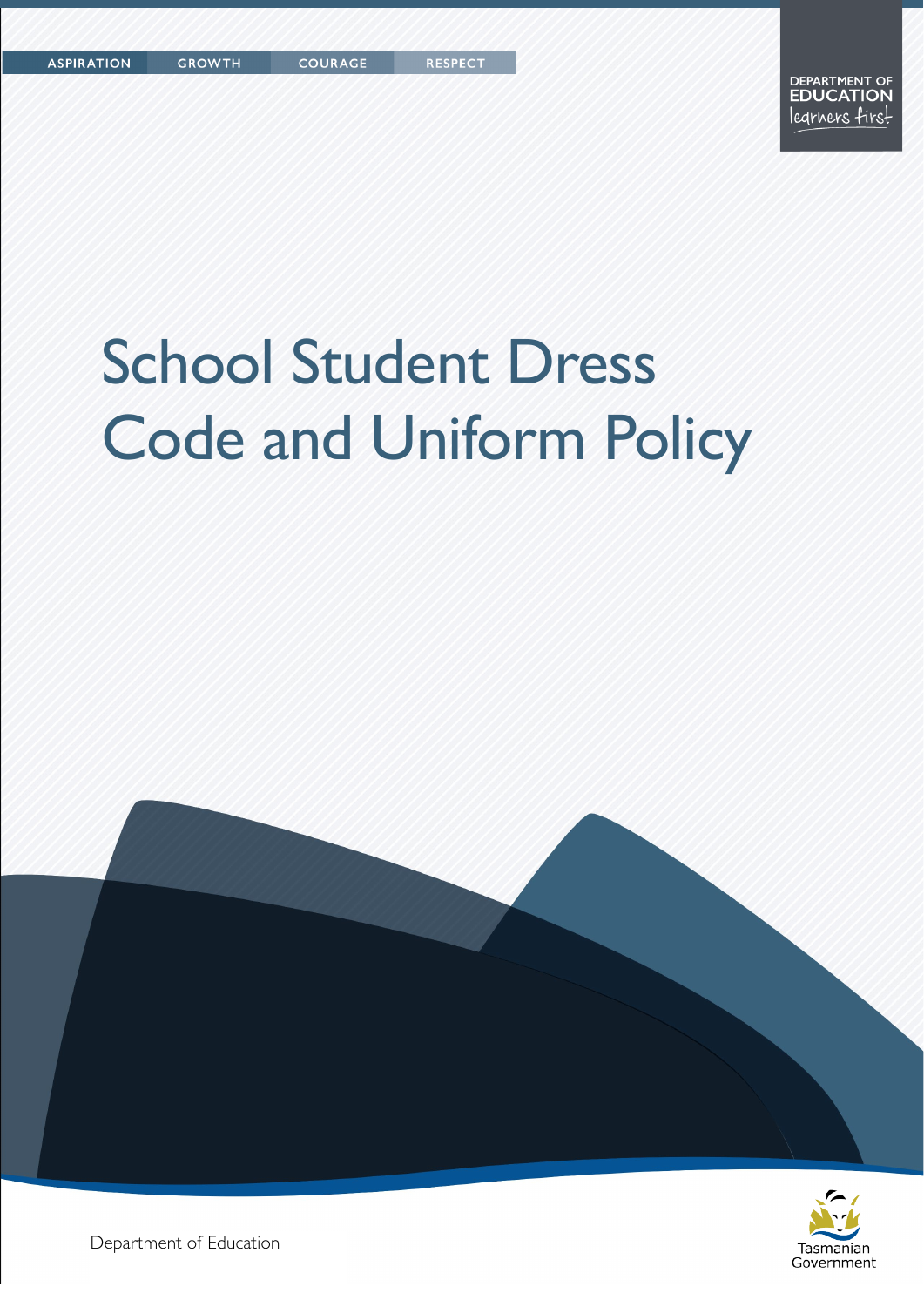# School Student Dress Code and Uniform Policy





Department of Education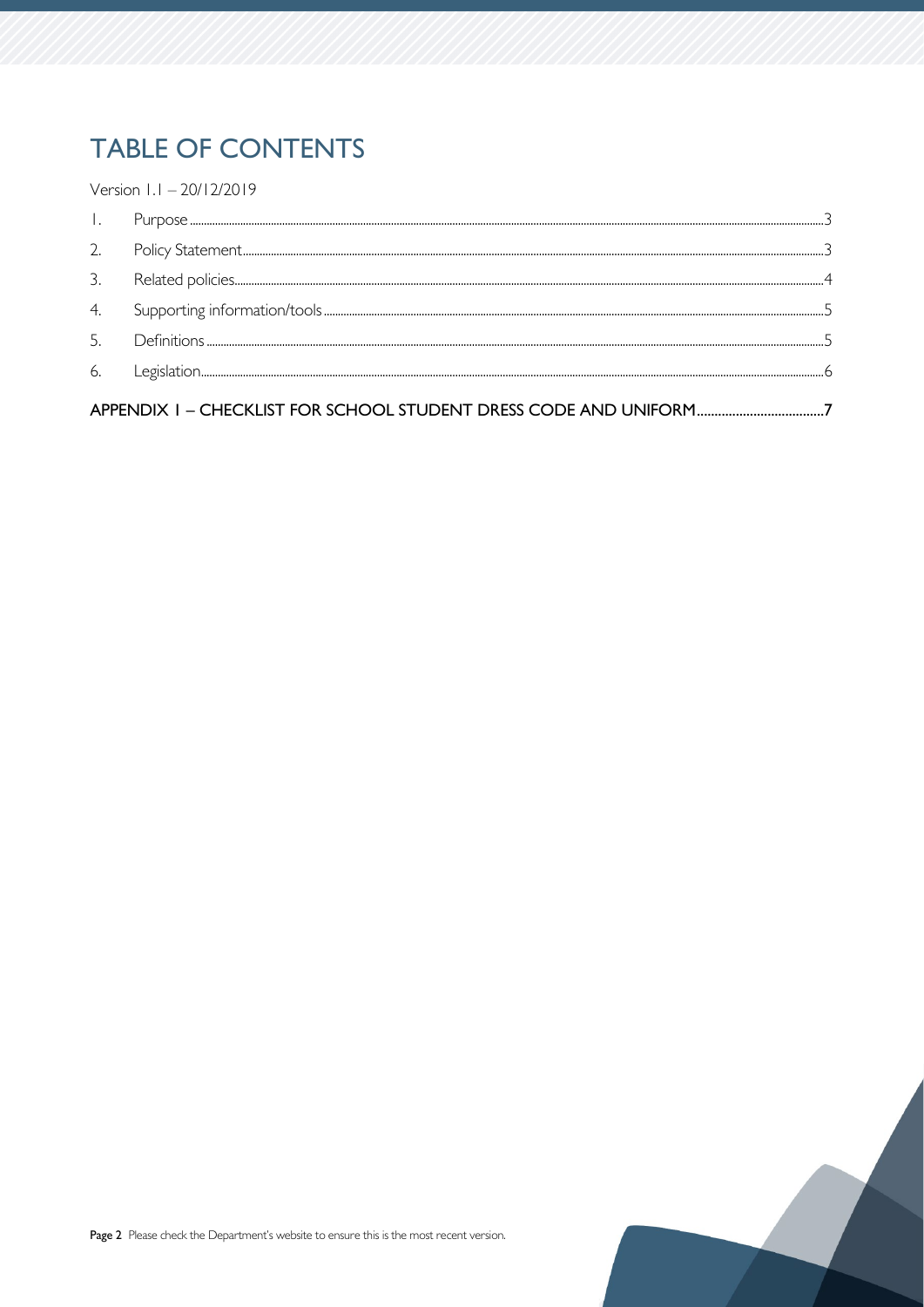# **TABLE OF CONTENTS**

Version 1.1 - 20/12/2019

| 3. |  |
|----|--|
| 4. |  |
| 5  |  |
| 6  |  |
|    |  |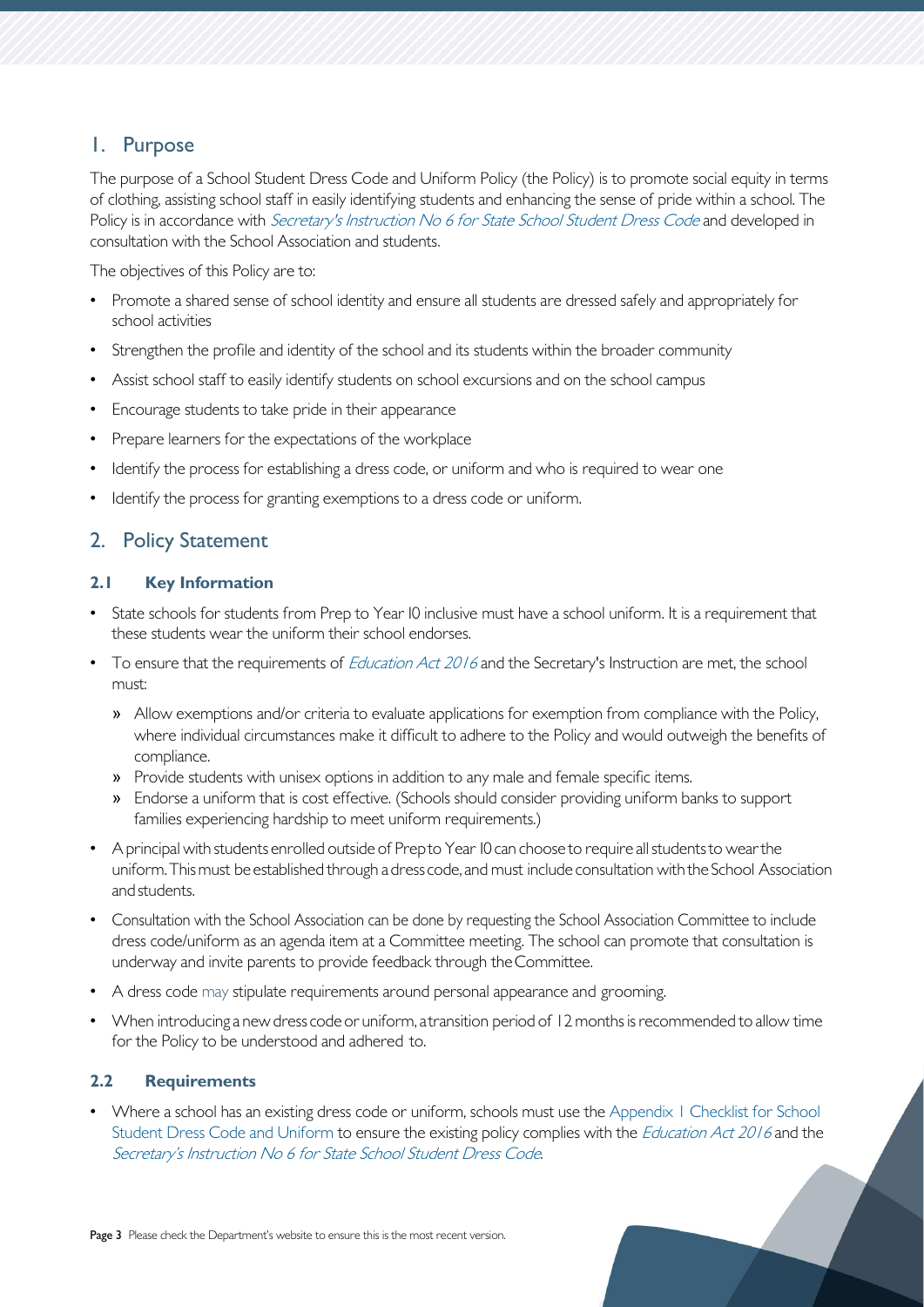## <span id="page-2-0"></span>1. Purpose

The purpose of a School Student Dress Code and Uniform Policy (the Policy) is to promote social equity in terms of clothing, assisting school staff in easily identifying students and enhancing the sense of pride within a school. The Policy is in accordance with [Secretary's Instruction No 6 for State School Student Dress Code](https://publicdocumentcentre.education.tas.gov.au/_layouts/15/DocIdRedir.aspx?ID=TASED-1797567314-8192) and developed in consultation with the School Association and students.

The objectives of this Policy are to:

- Promote a shared sense of school identity and ensure all students are dressed safely and appropriately for school activities
- Strengthen the profile and identity of the school and its students within the broader community
- Assist school staff to easily identify students on school excursions and on the school campus
- Encourage students to take pride in their appearance
- Prepare learners for the expectations of the workplace
- Identify the process for establishing a dress code, or uniform and who is required to wear one
- Identify the process for granting exemptions to a dress code or uniform.

## <span id="page-2-1"></span>2. Policy Statement

#### **2.1 Key Information**

- State schools for students from Prep to Year IO inclusive must have a school uniform. It is a requirement that these students wear the uniform their school endorses.
- To ensure that the requirements of *[Education Act 2016](https://www.legislation.tas.gov.au/view/html/inforce/current/act-2016-051)* and the Secretary's Instruction are met, the school must:
	- » Allow exemptions and/or criteria to evaluate applications for exemption from compliance with the Policy, where individual circumstances make it difficult to adhere to the Policy and would outweigh the benefits of compliance.
	- » Provide students with unisex options in addition to any male and female specific items.
	- » Endorse a uniform that is cost effective. (Schools should consider providing uniform banks to support families experiencing hardship to meet uniform requirements.)
- A principal with students enrolled outside of Prepto Year IO can choose to require all students to wear the uniform.Thismust be established through adress code, and must include consultation withthe School Association andstudents.
- Consultation with the School Association can be done by requesting the School Association Committee to include dress code/uniform as an agenda item at a Committee meeting. The school can promote that consultation is underway and invite parents to provide feedback through theCommittee.
- A dress code may stipulate requirements around personal appearance and grooming.
- When introducing a new dress code or uniform, a transition period of 12 months is recommended to allow time for the Policy to be understood and adhered to.

#### **2.2 Requirements**

• Where a school has an existing dress code or uniform, schools must use the Appendix 1 Checklist for School [Student Dress Code and Uniform](#page-6-0) to ensure the existing policy complies with the *[Education Act 2016](https://www.legislation.tas.gov.au/view/html/inforce/current/act-2016-051)* and the [Secretary's Instruction No 6 for State School Student Dress Code](https://publicdocumentcentre.education.tas.gov.au/_layouts/15/DocIdRedir.aspx?ID=TASED-1797567314-8192).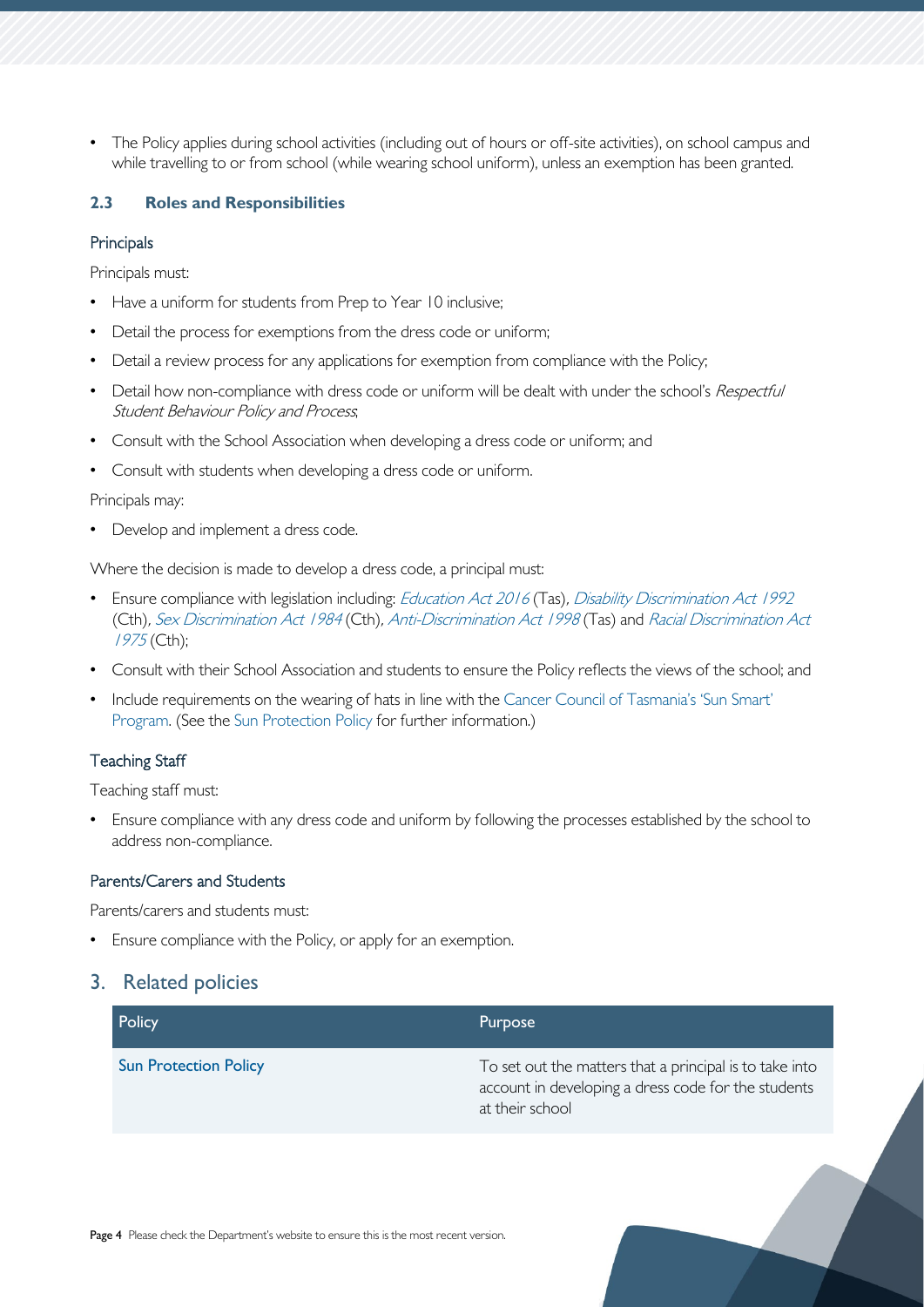• The Policy applies during school activities (including out of hours or off-site activities), on school campus and while travelling to or from school (while wearing school uniform), unless an exemption has been granted.

#### **2.3 Roles and Responsibilities**

#### **Principals**

Principals must:

- Have a uniform for students from Prep to Year 10 inclusive;
- Detail the process for exemptions from the dress code or uniform;
- Detail a review process for any applications for exemption from compliance with the Policy;
- Detail how non-compliance with dress code or uniform will be dealt with under the school's Respectful Student Behaviour Policy and Process;
- Consult with the School Association when developing a dress code or uniform; and
- Consult with students when developing a dress code or uniform.

#### Principals may:

• Develop and implement a dress code.

Where the decision is made to develop a dress code, a principal must:

- Ensure compliance with legislation including: [Education Act 2016](https://www.legislation.tas.gov.au/view/html/inforce/current/act-2016-051) (Tas), [Disability Discrimination Act 1992](https://www.legislation.gov.au/Details/C2018C00125) (Cth), [Sex Discrimination Act 1984](https://www.legislation.gov.au/Details/C2018C00499) (Cth), [Anti-Discrimination Act 1998](https://www.legislation.tas.gov.au/view/html/inforce/current/act-1998-046) (Tas) and [Racial Discrimination Act](https://www.legislation.gov.au/Details/C2016C00089)  [1975](https://www.legislation.gov.au/Details/C2016C00089) (Cth);
- Consult with their School Association and students to ensure the Policy reflects the views of the school; and
- Include requirements on the wearing of hats in line with the [Cancer Council of Tasmania's 'Sun Smart'](http://www.cancertas.org.au/prevent-cancer/sunsmart/) [Program.](http://www.cancertas.org.au/prevent-cancer/sunsmart/) (See the [Sun Protection Policy](https://publicdocumentcentre.education.tas.gov.au/_layouts/15/DocIdRedir.aspx?ID=TASED-4-5152) for further information.)

#### Teaching Staff

Teaching staff must:

• Ensure compliance with any dress code and uniform by following the processes established by the school to address non-compliance.

#### Parents/Carers and Students

Parents/carers and students must:

• Ensure compliance with the Policy, or apply for an exemption.

#### <span id="page-3-0"></span>3. Related policies

| Policy                       | Purpose                                                                                                                           |
|------------------------------|-----------------------------------------------------------------------------------------------------------------------------------|
| <b>Sun Protection Policy</b> | To set out the matters that a principal is to take into<br>account in developing a dress code for the students<br>at their school |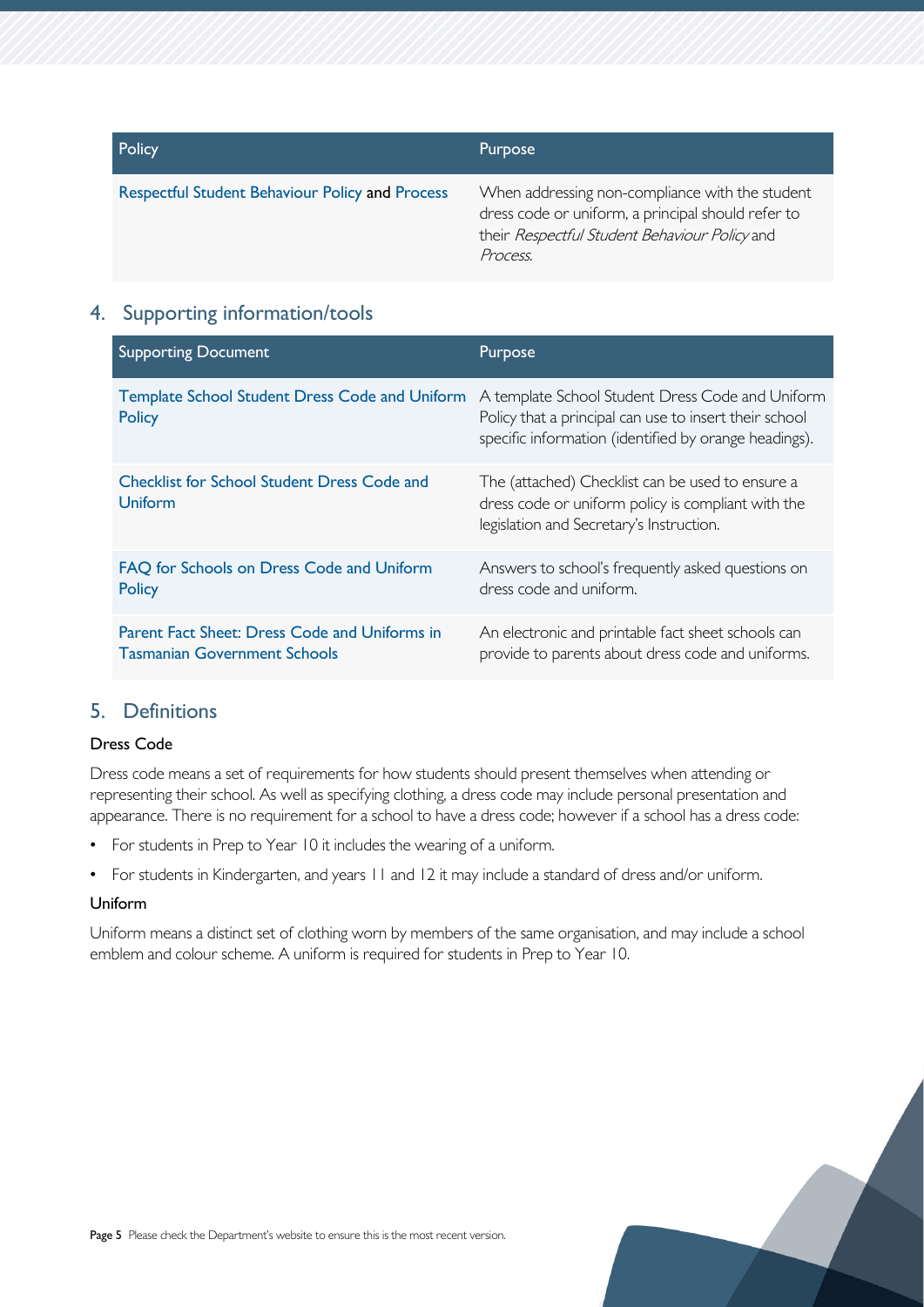| Policy                                                 | <b>Purpose</b>                                                                                                                                                     |
|--------------------------------------------------------|--------------------------------------------------------------------------------------------------------------------------------------------------------------------|
| <b>Respectful Student Behaviour Policy and Process</b> | When addressing non-compliance with the student<br>dress code or uniform, a principal should refer to<br>their Respectful Student Behaviour Policy and<br>Process. |

## <span id="page-4-0"></span>4. Supporting information/tools

| <b>Supporting Document</b>                                                           | Purpose                                                                                                                                                             |
|--------------------------------------------------------------------------------------|---------------------------------------------------------------------------------------------------------------------------------------------------------------------|
| <b>Template School Student Dress Code and Uniform</b><br><b>Policy</b>               | A template School Student Dress Code and Uniform<br>Policy that a principal can use to insert their school<br>specific information (identified by orange headings). |
| <b>Checklist for School Student Dress Code and</b><br><b>Uniform</b>                 | The (attached) Checklist can be used to ensure a<br>dress code or uniform policy is compliant with the<br>legislation and Secretary's Instruction.                  |
| FAQ for Schools on Dress Code and Uniform<br><b>Policy</b>                           | Answers to school's frequently asked questions on<br>dress code and uniform.                                                                                        |
| Parent Fact Sheet: Dress Code and Uniforms in<br><b>Tasmanian Government Schools</b> | An electronic and printable fact sheet schools can<br>provide to parents about dress code and uniforms.                                                             |

## <span id="page-4-1"></span>5. Definitions

#### Dress Code

Dress code means a set of requirements for how students should present themselves when attending or representing their school. As well as specifying clothing, a dress code may include personal presentation and appearance. There is no requirement for a school to have a dress code; however if a school has a dress code:

- For students in Prep to Year 10 it includes the wearing of a uniform.
- For students in Kindergarten, and years 11 and 12 it may include a standard of dress and/or uniform.

#### Uniform

Uniform means a distinct set of clothing worn by members of the same organisation, and may include a school emblem and colour scheme. A uniform is required for students in Prep to Year 10.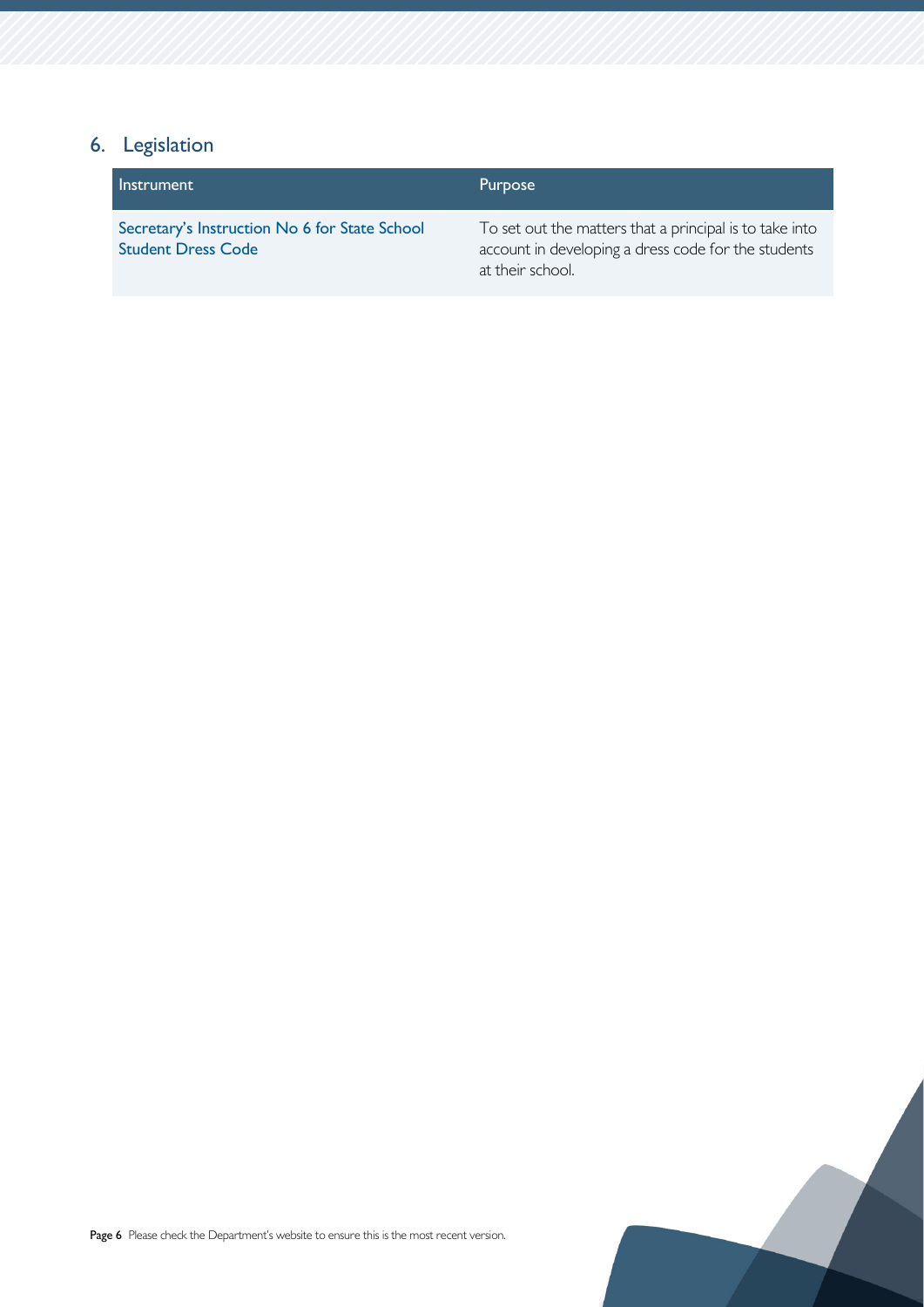# <span id="page-5-0"></span>6. Legislation

| <b>Instrument</b>                                                          | Purpose                                                                                                                            |
|----------------------------------------------------------------------------|------------------------------------------------------------------------------------------------------------------------------------|
| Secretary's Instruction No 6 for State School<br><b>Student Dress Code</b> | To set out the matters that a principal is to take into<br>account in developing a dress code for the students<br>at their school. |

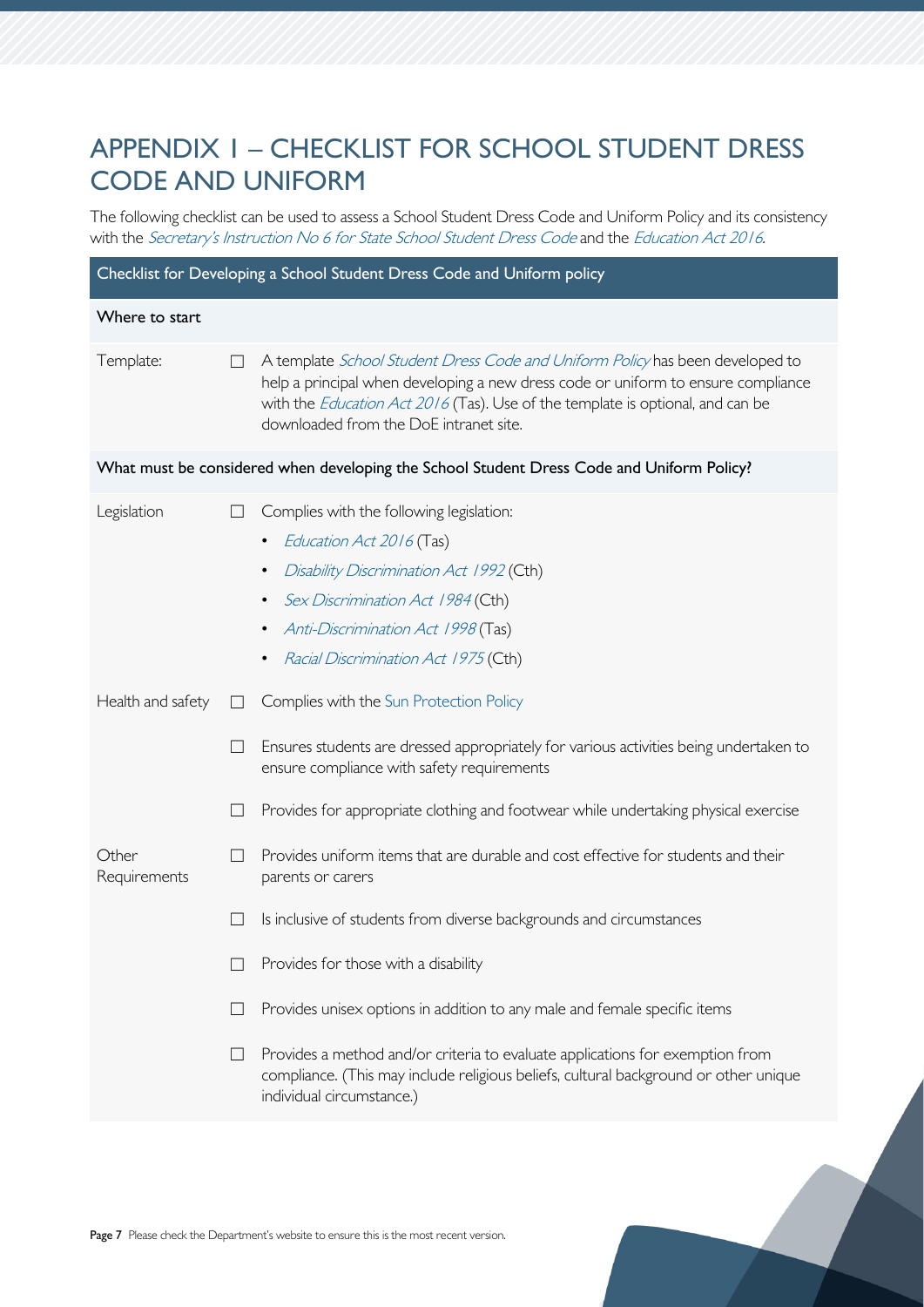# <span id="page-6-0"></span>APPENDIX 1 – CHECKLIST FOR SCHOOL STUDENT DRESS CODE AND UNIFORM

The following checklist can be used to assess a School Student Dress Code and Uniform Policy and its consistency with the [Secretary's Instruction No 6 for State School Student Dress Code](https://publicdocumentcentre.education.tas.gov.au/_layouts/15/DocIdRedir.aspx?ID=TASED-1797567314-8192) and the Education Act 2016.

| Checklist for Developing a School Student Dress Code and Uniform policy                   |                                  |                                                                                                                                                                                                                                                                                                                                                                                                                                                                                                          |  |  |
|-------------------------------------------------------------------------------------------|----------------------------------|----------------------------------------------------------------------------------------------------------------------------------------------------------------------------------------------------------------------------------------------------------------------------------------------------------------------------------------------------------------------------------------------------------------------------------------------------------------------------------------------------------|--|--|
| Where to start                                                                            |                                  |                                                                                                                                                                                                                                                                                                                                                                                                                                                                                                          |  |  |
| Template:                                                                                 | $\Box$                           | A template School Student Dress Code and Uniform Policy has been developed to<br>help a principal when developing a new dress code or uniform to ensure compliance<br>with the <i>Education Act 2016</i> (Tas). Use of the template is optional, and can be<br>downloaded from the DoE intranet site.                                                                                                                                                                                                    |  |  |
| What must be considered when developing the School Student Dress Code and Uniform Policy? |                                  |                                                                                                                                                                                                                                                                                                                                                                                                                                                                                                          |  |  |
| Legislation                                                                               |                                  | Complies with the following legislation:<br>Education Act 2016 (Tas)<br>Disability Discrimination Act 1992 (Cth)<br>Sex Discrimination Act 1984 (Cth)<br>Anti-Discrimination Act 1998 (Tas)<br>٠<br>Racial Discrimination Act 1975 (Cth)<br>$\bullet$                                                                                                                                                                                                                                                    |  |  |
| Health and safety                                                                         | $\Box$<br>$\vert \ \ \vert$<br>ப | Complies with the Sun Protection Policy<br>Ensures students are dressed appropriately for various activities being undertaken to<br>ensure compliance with safety requirements<br>Provides for appropriate clothing and footwear while undertaking physical exercise                                                                                                                                                                                                                                     |  |  |
| Other<br>Requirements                                                                     | $\Box$                           | Provides uniform items that are durable and cost effective for students and their<br>parents or carers<br>Is inclusive of students from diverse backgrounds and circumstances<br>Provides for those with a disability<br>Provides unisex options in addition to any male and female specific items<br>Provides a method and/or criteria to evaluate applications for exemption from<br>compliance. (This may include religious beliefs, cultural background or other unique<br>individual circumstance.) |  |  |
|                                                                                           |                                  |                                                                                                                                                                                                                                                                                                                                                                                                                                                                                                          |  |  |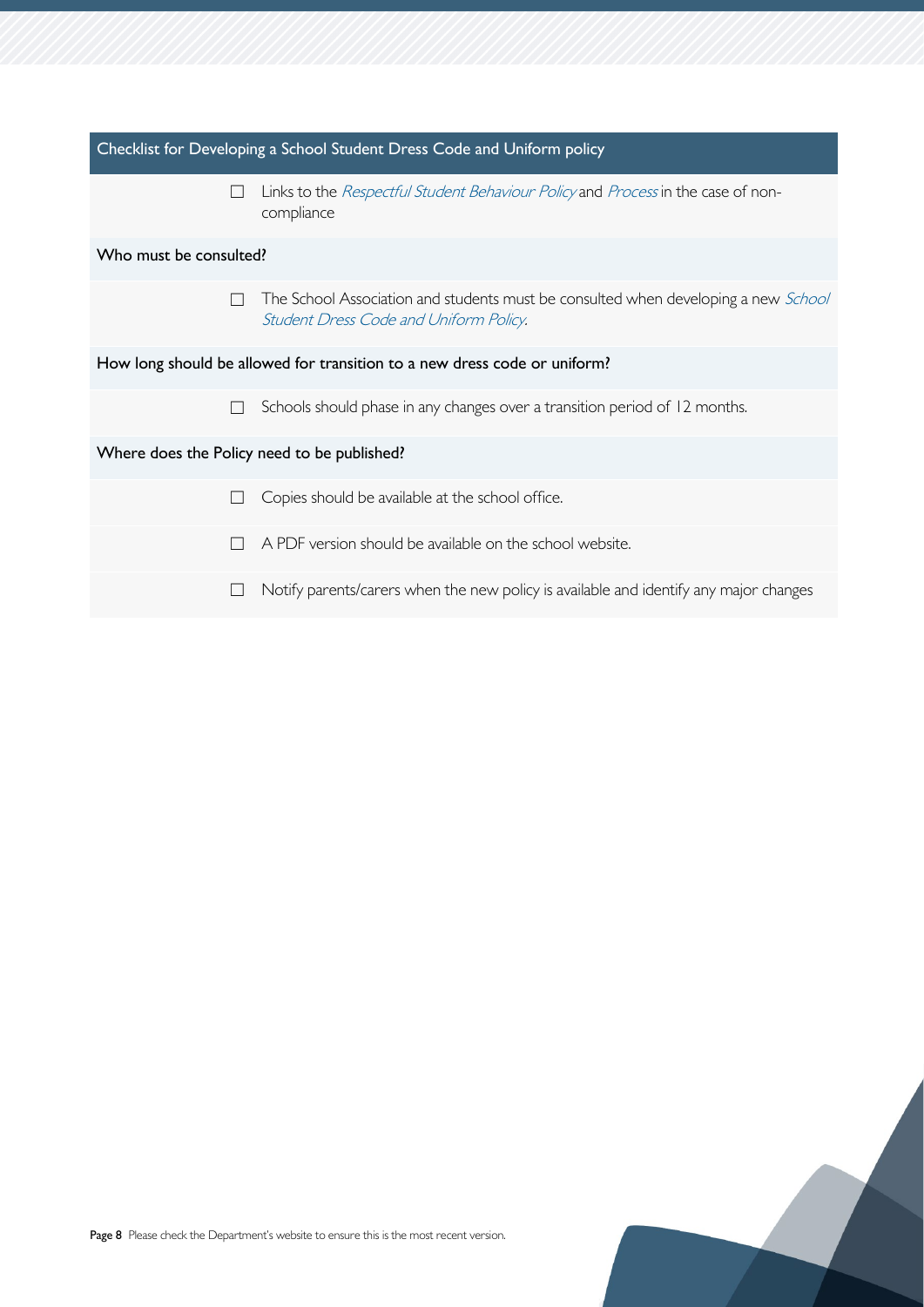| Checklist for Developing a School Student Dress Code and Uniform policy   |                                                                                                                              |  |  |
|---------------------------------------------------------------------------|------------------------------------------------------------------------------------------------------------------------------|--|--|
| $\Box$                                                                    | Links to the Respectful Student Behaviour Policy and Process in the case of non-<br>compliance                               |  |  |
| Who must be consulted?                                                    |                                                                                                                              |  |  |
| $\overline{\phantom{a}}$                                                  | The School Association and students must be consulted when developing a new School<br>Student Dress Code and Uniform Policy. |  |  |
| How long should be allowed for transition to a new dress code or uniform? |                                                                                                                              |  |  |
| $\overline{\phantom{a}}$                                                  | Schools should phase in any changes over a transition period of 12 months.                                                   |  |  |
| Where does the Policy need to be published?                               |                                                                                                                              |  |  |
|                                                                           | Copies should be available at the school office.                                                                             |  |  |
|                                                                           | A PDF version should be available on the school website.                                                                     |  |  |
|                                                                           | Notify parents/carers when the new policy is available and identify any major changes                                        |  |  |